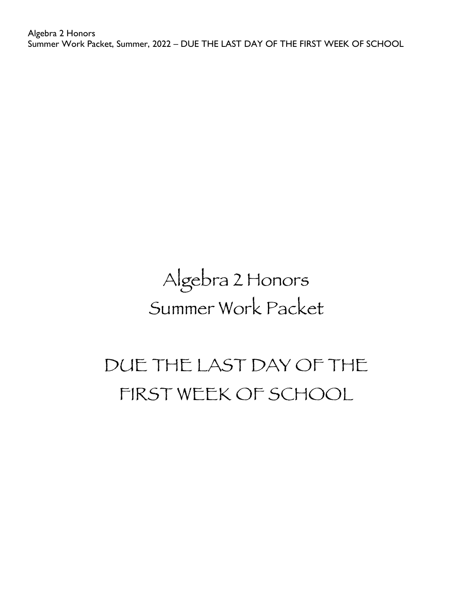Algebra 2 Honors Summer Work Packet, Summer, 2022 – DUE THE LAST DAY OF THE FIRST WEEK OF SCHOOL

# Algebra 2 Honors Summer Work Packet

# DUE THE LAST DAY OF THE FIRST WEEK OF SCHOOL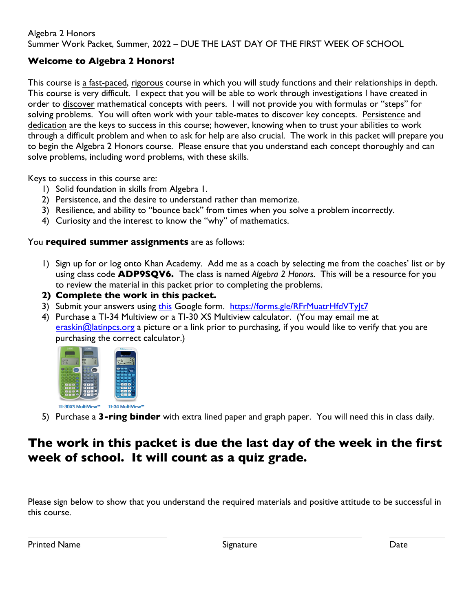#### Algebra 2 Honors Summer Work Packet, Summer, 2022 – DUE THE LAST DAY OF THE FIRST WEEK OF SCHOOL

# **Welcome to Algebra 2 Honors!**

This course is a fast-paced, rigorous course in which you will study functions and their relationships in depth. This course is very difficult. I expect that you will be able to work through investigations I have created in order to discover mathematical concepts with peers. I will not provide you with formulas or "steps" for solving problems. You will often work with your table-mates to discover key concepts. Persistence and dedication are the keys to success in this course; however, knowing when to trust your abilities to work through a difficult problem and when to ask for help are also crucial. The work in this packet will prepare you to begin the Algebra 2 Honors course. Please ensure that you understand each concept thoroughly and can solve problems, including word problems, with these skills.

Keys to success in this course are:

- 1) Solid foundation in skills from Algebra 1.
- 2) Persistence, and the desire to understand rather than memorize.
- 3) Resilience, and ability to "bounce back" from times when you solve a problem incorrectly.
- 4) Curiosity and the interest to know the "why" of mathematics.

## You **required summer assignments** are as follows:

- 1) Sign up for or log onto Khan Academy. Add me as a coach by selecting me from the coaches' list or by using class code **ADP9SQV6.** The class is named *Algebra 2 Honors*. This will be a resource for you to review the material in this packet prior to completing the problems.
- **2) Complete the work in this packet.**
- 3) Submit your answers using this Google form. https://forms.gle/RFrMuatrHfdVTyJt7
- 4) Purchase a TI-34 Multiview or a TI-30 XS Multiview calculator. (You may email me at eraskin $@$  latinpcs.org a picture or a link prior to purchasing, if you would like to verify that you are purchasing the correct calculator.)



5) Purchase a **3-ring binder** with extra lined paper and graph paper. You will need this in class daily.

# **The work in this packet is due the last day of the week in the first week of school. It will count as a quiz grade.**

Please sign below to show that you understand the required materials and positive attitude to be successful in this course.

Printed Name **Signature** Signature **Signature Signature Signature Date**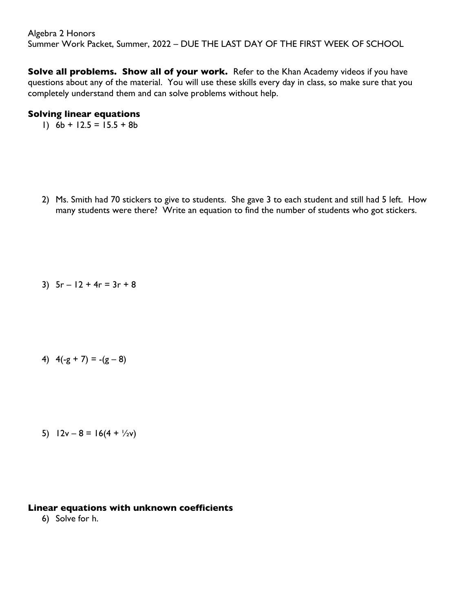**Solve all problems. Show all of your work.** Refer to the Khan Academy videos if you have questions about any of the material. You will use these skills every day in class, so make sure that you completely understand them and can solve problems without help.

#### **Solving linear equations**

1)  $6b + 12.5 = 15.5 + 8b$ 

2) Ms. Smith had 70 stickers to give to students. She gave 3 to each student and still had 5 left. How many students were there? Write an equation to find the number of students who got stickers.

3)  $5r - 12 + 4r = 3r + 8$ 

4)  $4(-g + 7) = -(g - 8)$ 

5)  $12v - 8 = 16(4 + \frac{1}{2}v)$ 

#### **Linear equations with unknown coefficients**

6) Solve for h.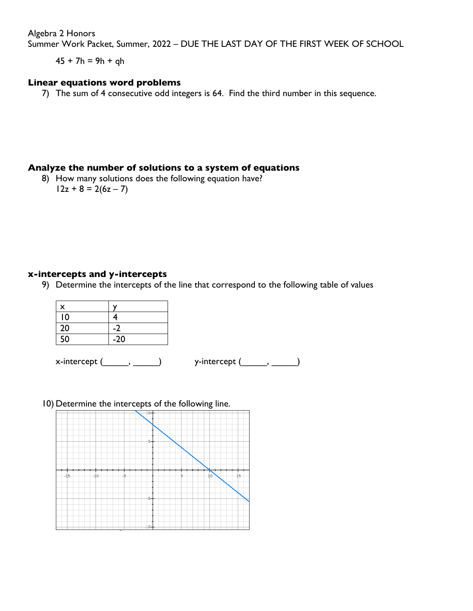Algebra 2 Honors

Summer Work Packet, Summer, 2022 – DUE THE LAST DAY OF THE FIRST WEEK OF SCHOOL

 $45 + 7h = 9h + gh$ 

#### **Linear equations word problems**

7) The sum of 4 consecutive odd integers is 64. Find the third number in this sequence.

#### **Analyze the number of solutions to a system of equations**

8) How many solutions does the following equation have?  $12z + 8 = 2(6z - 7)$ 

#### **x-intercepts and y-intercepts**

9) Determine the intercepts of the line that correspond to the following table of values

| x  |       |
|----|-------|
| 10 | Δ     |
| 20 |       |
| 50 | $-20$ |

 $x\text{-intercept } (\qquad , \qquad )$  y-intercept  $(\qquad , \qquad )$ 

#### 10) Determine the intercepts of the following line.

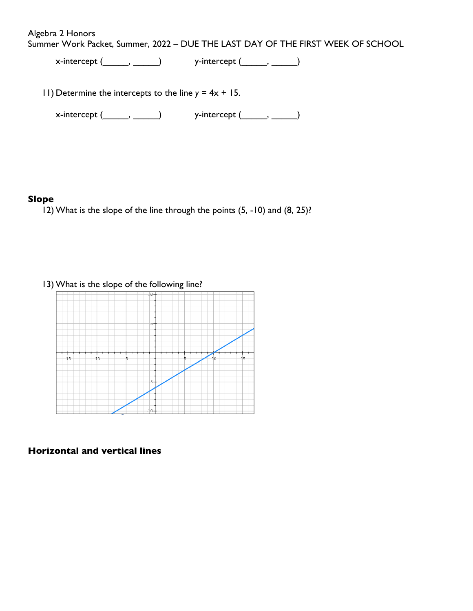Algebra 2 Honors

Summer Work Packet, Summer, 2022 – DUE THE LAST DAY OF THE FIRST WEEK OF SCHOOL

 $x\text{-intercept} (\_\_\_\_\_\_\_\_\_\_\$  y-intercept  $(\_\_\_\_\_\_\_\_\_\_\_\_\_\_$ 

11) Determine the intercepts to the line *y* = 4x + 15.

 $x\text{-intercept } (\_\_\_\_ \ , \_\_\_\_ )$  y-intercept  $(\_\_\_\_\_ \ , \_\_\_\_ )$ 

#### **Slope**

12) What is the slope of the line through the points (5, -10) and (8, 25)?

13) What is the slope of the following line?



#### **Horizontal and vertical lines**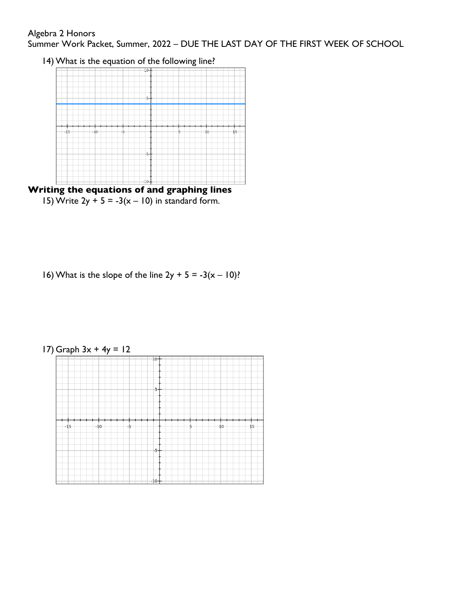### Algebra 2 Honors

Summer Work Packet, Summer, 2022 – DUE THE LAST DAY OF THE FIRST WEEK OF SCHOOL

14) What is the equation of the following line?





16) What is the slope of the line  $2y + 5 = -3(x - 10)$ ?



17) Graph 3x + 4y = 12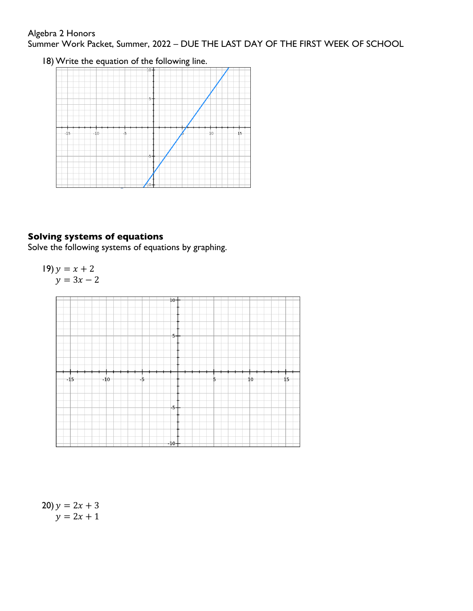## Algebra 2 Honors Summer Work Packet, Summer, 2022 – DUE THE LAST DAY OF THE FIRST WEEK OF SCHOOL

18) Write the equation of the following line.



# **Solving systems of equations**

Solve the following systems of equations by graphing.

$$
19) y = x + 2
$$
  
y = 3x - 2



20)  $y = 2x + 3$  $y = 2x + 1$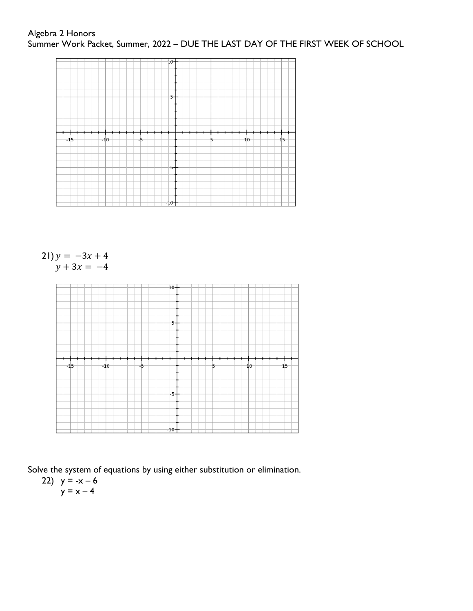

 $21$ )  $y = -3x + 4$  $y + 3x = -4$ 



Solve the system of equations by using either substitution or elimination.

22) 
$$
y = -x - 6
$$

$$
y = x - 4
$$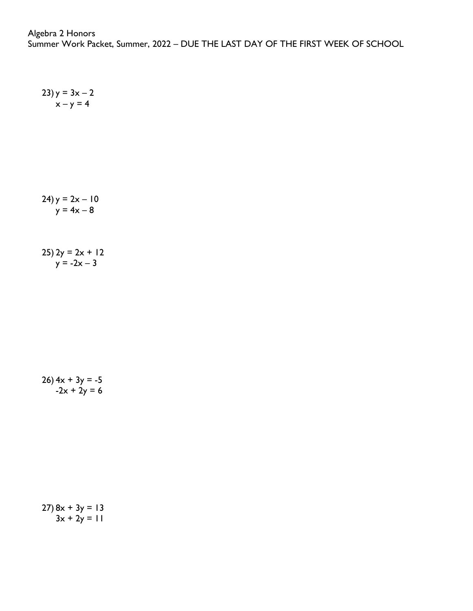$$
24y = 2x - 10
$$
  

$$
y = 4x - 8
$$

 $23$ ) y =  $3x - 2$  $x - y = 4$ 

25)  $2y = 2x + 12$  $y = -2x - 3$ 

 $26)$  4x + 3y = -5  $-2x + 2y = 6$ 

 $27) 8x + 3y = 13$  $3x + 2y = 11$